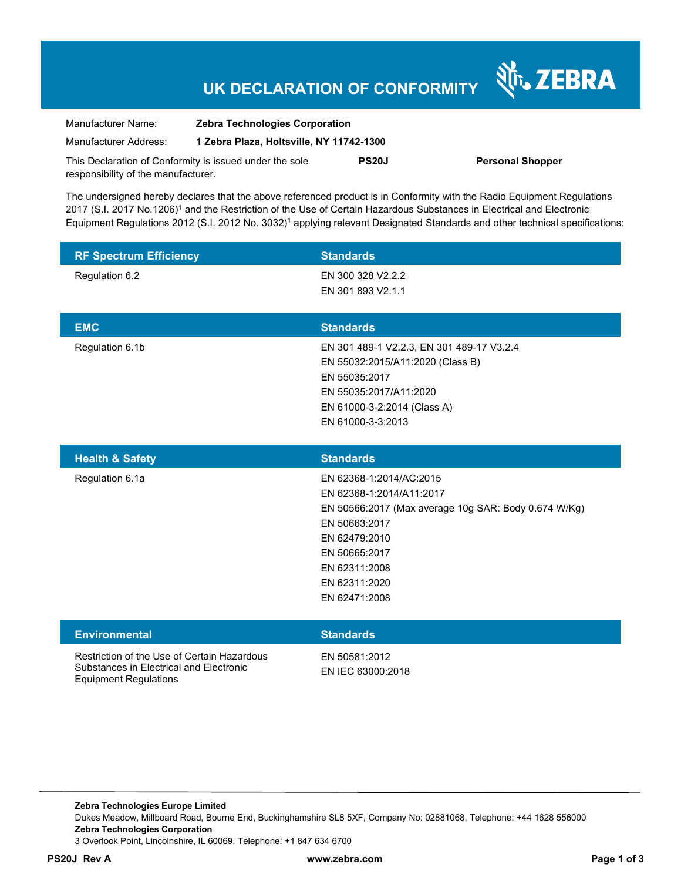## **UK DECLARATION OF CONFORMITY**

| Manufacturer Name:                                      | <b>Zebra Technologies Corporation</b>    |              |             |
|---------------------------------------------------------|------------------------------------------|--------------|-------------|
| Manufacturer Address:                                   | 1 Zebra Plaza, Holtsville, NY 11742-1300 |              |             |
| This Declaration of Conformity is issued under the sole |                                          | <b>PS20J</b> | <b>Pers</b> |
| responsibility of the manufacturer.                     |                                          |              |             |

**PS20J Personal Shopper** 

Nr. ZEBRA

The undersigned hereby declares that the above referenced product is in Conformity with the Radio Equipment Regulations 2017 (S.I. 2017 No.1206)<sup>1</sup> and the Restriction of the Use of Certain Hazardous Substances in Electrical and Electronic Equipment Regulations 2012 (S.I. 2012 No. 3032)<sup>1</sup> applying relevant Designated Standards and other technical specifications:

| <b>RF Spectrum Efficiency</b> | <b>Standards</b>                          |
|-------------------------------|-------------------------------------------|
| Regulation 6.2                | EN 300 328 V2.2.2                         |
|                               | EN 301 893 V2.1.1                         |
|                               |                                           |
| <b>EMC</b>                    | <b>Standards</b>                          |
| Regulation 6.1b               | EN 301 489-1 V2.2.3, EN 301 489-17 V3.2.4 |
|                               | EN 55032:2015/A11:2020 (Class B)          |
|                               | EN 55035:2017                             |
|                               | EN 55035:2017/A11:2020                    |
|                               | EN 61000-3-2:2014 (Class A)               |
|                               | EN 61000-3-3:2013                         |

| <b>Health &amp; Safety</b> | <b>Standards</b>                                     |
|----------------------------|------------------------------------------------------|
| Regulation 6.1a            | EN 62368-1:2014/AC:2015                              |
|                            | EN 62368-1:2014/A11:2017                             |
|                            | EN 50566:2017 (Max average 10g SAR: Body 0.674 W/Kg) |
|                            | EN 50663:2017                                        |
|                            | EN 62479:2010                                        |
|                            | EN 50665:2017                                        |
|                            | EN 62311:2008                                        |
|                            | EN 62311:2020                                        |
|                            | EN 62471:2008                                        |
|                            |                                                      |

| <b>Environmental</b>                                                                                            | <b>Standards</b>                   |
|-----------------------------------------------------------------------------------------------------------------|------------------------------------|
| Restriction of the Use of Certain Hazardous<br>Substances in Electrical and Electronic<br>Equipment Regulations | EN 50581:2012<br>EN IEC 63000:2018 |

**Zebra Technologies Europe Limited**  Dukes Meadow, Millboard Road, Bourne End, Buckinghamshire SL8 5XF, Company No: 02881068, Telephone: +44 1628 556000 **Zebra Technologies Corporation**  3 Overlook Point, Lincolnshire, IL 60069, Telephone: +1 847 634 6700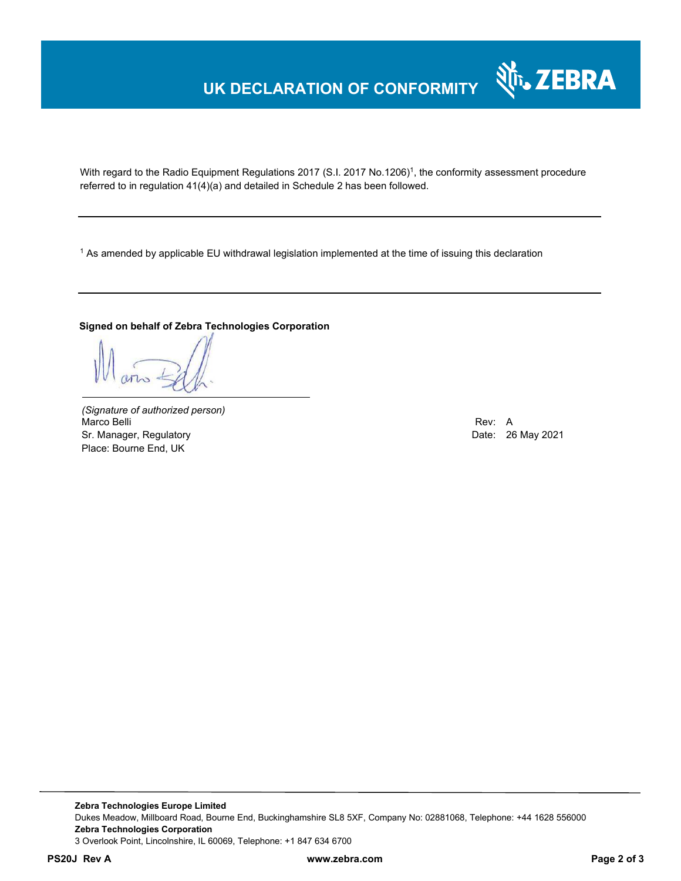# **UK DECLARATION OF CONFORMITY**



With regard to the Radio Equipment Regulations 2017 (S.I. 2017 No.1206)<sup>1</sup>, the conformity assessment procedure referred to in regulation 41(4)(a) and detailed in Schedule 2 has been followed.

 $^{\rm 1}$  As amended by applicable EU withdrawal legislation implemented at the time of issuing this declaration

#### **Signed on behalf of Zebra Technologies Corporation**

*(Signature of authorized person)* Marco Belli Rev: A Sr. Manager, Regulatory Date: 26 May 2021 Place: Bourne End, UK